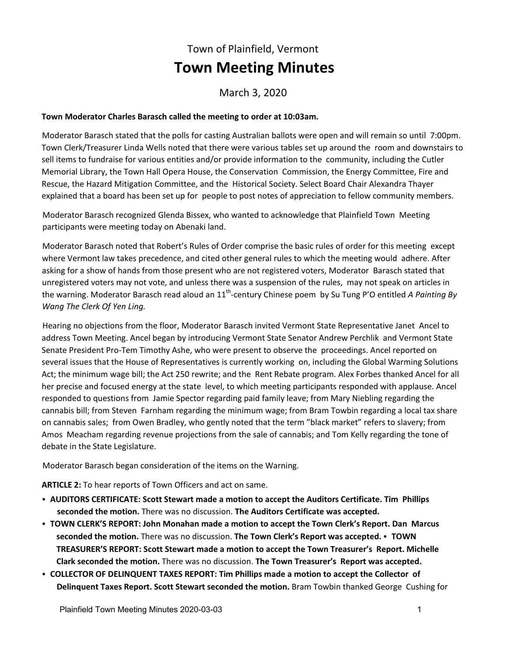## Town of Plainfield, Vermont **Town Meeting Minutes**

March 3, 2020

## **Town Moderator Charles Barasch called the meeting to order at 10:03am.**

Moderator Barasch stated that the polls for casting Australian ballots were open and will remain so until 7:00pm. Town Clerk/Treasurer Linda Wells noted that there were various tables set up around the room and downstairs to sell items to fundraise for various entities and/or provide information to the community, including the Cutler Memorial Library, the Town Hall Opera House, the Conservation Commission, the Energy Committee, Fire and Rescue, the Hazard Mitigation Committee, and the Historical Society. Select Board Chair Alexandra Thayer explained that a board has been set up for people to post notes of appreciation to fellow community members.

Moderator Barasch recognized Glenda Bissex, who wanted to acknowledge that Plainfield Town Meeting participants were meeting today on Abenaki land.

Moderator Barasch noted that Robert's Rules of Order comprise the basic rules of order for this meeting except where Vermont law takes precedence, and cited other general rules to which the meeting would adhere. After asking for a show of hands from those present who are not registered voters, Moderator Barasch stated that unregistered voters may not vote, and unless there was a suspension of the rules, may not speak on articles in the warning. Moderator Barasch read aloud an 11<sup>th</sup>-century Chinese poem by Su Tung P'O entitled *A Painting By Wang The Clerk Of Yen Ling.* 

Hearing no objections from the floor, Moderator Barasch invited Vermont State Representative Janet Ancel to address Town Meeting. Ancel began by introducing Vermont State Senator Andrew Perchlik and Vermont State Senate President Pro-Tem Timothy Ashe, who were present to observe the proceedings. Ancel reported on several issues that the House of Representatives is currently working on, including the Global Warming Solutions Act; the minimum wage bill; the Act 250 rewrite; and the Rent Rebate program. Alex Forbes thanked Ancel for all her precise and focused energy at the state level, to which meeting participants responded with applause. Ancel responded to questions from Jamie Spector regarding paid family leave; from Mary Niebling regarding the cannabis bill; from Steven Farnham regarding the minimum wage; from Bram Towbin regarding a local tax share on cannabis sales; from Owen Bradley, who gently noted that the term "black market" refers to slavery; from Amos Meacham regarding revenue projections from the sale of cannabis; and Tom Kelly regarding the tone of debate in the State Legislature.

Moderator Barasch began consideration of the items on the Warning.

**ARTICLE 2:** To hear reports of Town Officers and act on same.

- **AUDITORS CERTIFICATE: Scott Stewart made a motion to accept the Auditors Certificate. Tim Phillips seconded the motion.** There was no discussion. **The Auditors Certificate was accepted.**
- **TOWN CLERK'S REPORT: John Monahan made a motion to accept the Town Clerk's Report. Dan Marcus seconded the motion.** There was no discussion. The Town Clerk's Report was accepted. • TOWN **TREASURER'S REPORT: Scott Stewart made a motion to accept the Town Treasurer's Report. Michelle Clark seconded the motion.** There was no discussion. **The Town Treasurer's Report was accepted.**
- **COLLECTOR OF DELINQUENT TAXES REPORT: Tim Phillips made a motion to accept the Collector of Delinquent Taxes Report. Scott Stewart seconded the motion.** Bram Towbin thanked George Cushing for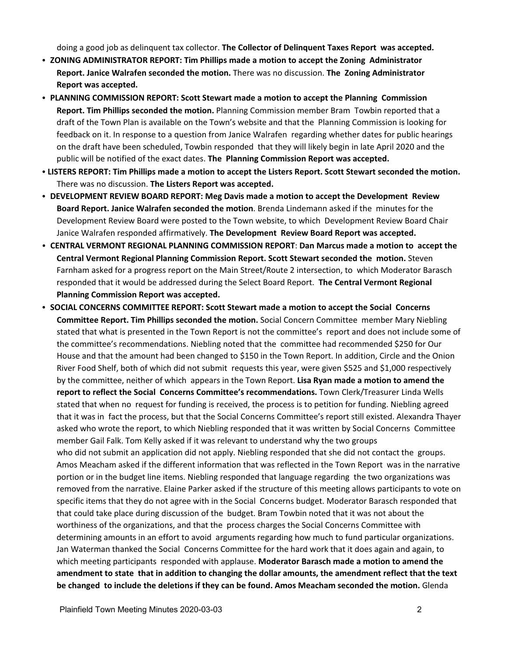doing a good job as delinquent tax collector. **The Collector of Delinquent Taxes Report was accepted.**

- ZONING ADMINISTRATOR REPORT: Tim Phillips made a motion to accept the Zoning Administrator **Report. Janice Walrafen seconded the motion.** There was no discussion. **The Zoning Administrator Report was accepted.**
- **PLANNING COMMISSION REPORT: Scott Stewart made a motion to accept the Planning Commission Report. Tim Phillips seconded the motion.** Planning Commission member Bram Towbin reported that a draft of the Town Plan is available on the Town's website and that the Planning Commission is looking for feedback on it. In response to a question from Janice Walrafen regarding whether dates for public hearings on the draft have been scheduled, Towbin responded that they will likely begin in late April 2020 and the public will be notified of the exact dates. **The Planning Commission Report was accepted.**
- **LISTERS REPORT: Tim Phillips made a motion to accept the Listers Report. Scott Stewart seconded the motion.** There was no discussion. **The Listers Report was accepted.**
- **DEVELOPMENT REVIEW BOARD REPORT: Meg Davis made a motion to accept the Development Review Board Report. Janice Walrafen seconded the motion**. Brenda Lindemann asked if the minutes for the Development Review Board were posted to the Town website, to which Development Review Board Chair Janice Walrafen responded affirmatively. **The Development Review Board Report was accepted.**
- C **CENTRAL VERMONT REGIONAL PLANNING COMMISSION REPORT**: **Dan Marcus made a motion to accept the Central Vermont Regional Planning Commission Report. Scott Stewart seconded the motion.** Steven Farnham asked for a progress report on the Main Street/Route 2 intersection, to which Moderator Barasch responded that it would be addressed during the Select Board Report. **The Central Vermont Regional Planning Commission Report was accepted.**
- **SOCIAL CONCERNS COMMITTEE REPORT: Scott Stewart made a motion to accept the Social Concerns Committee Report. Tim Phillips seconded the motion.** Social Concern Committee member Mary Niebling stated that what is presented in the Town Report is not the committee's report and does not include some of the committee's recommendations. Niebling noted that the committee had recommended \$250 for Our House and that the amount had been changed to \$150 in the Town Report. In addition, Circle and the Onion River Food Shelf, both of which did not submit requests this year, were given \$525 and \$1,000 respectively by the committee, neither of which appears in the Town Report. **Lisa Ryan made a motion to amend the report to reflect the Social Concerns Committee's recommendations.** Town Clerk/Treasurer Linda Wells stated that when no request for funding is received, the process is to petition for funding. Niebling agreed that it was in fact the process, but that the Social Concerns Committee's report still existed. Alexandra Thayer asked who wrote the report, to which Niebling responded that it was written by Social Concerns Committee member Gail Falk. Tom Kelly asked if it was relevant to understand why the two groups who did not submit an application did not apply. Niebling responded that she did not contact the groups. Amos Meacham asked if the different information that was reflected in the Town Report was in the narrative portion or in the budget line items. Niebling responded that language regarding the two organizations was removed from the narrative. Elaine Parker asked if the structure of this meeting allows participants to vote on specific items that they do not agree with in the Social Concerns budget. Moderator Barasch responded that that could take place during discussion of the budget. Bram Towbin noted that it was not about the worthiness of the organizations, and that the process charges the Social Concerns Committee with determining amounts in an effort to avoid arguments regarding how much to fund particular organizations. Jan Waterman thanked the Social Concerns Committee for the hard work that it does again and again, to which meeting participants responded with applause. **Moderator Barasch made a motion to amend the amendment to state that in addition to changing the dollar amounts, the amendment reflect that the text be changed to include the deletions if they can be found. Amos Meacham seconded the motion.** Glenda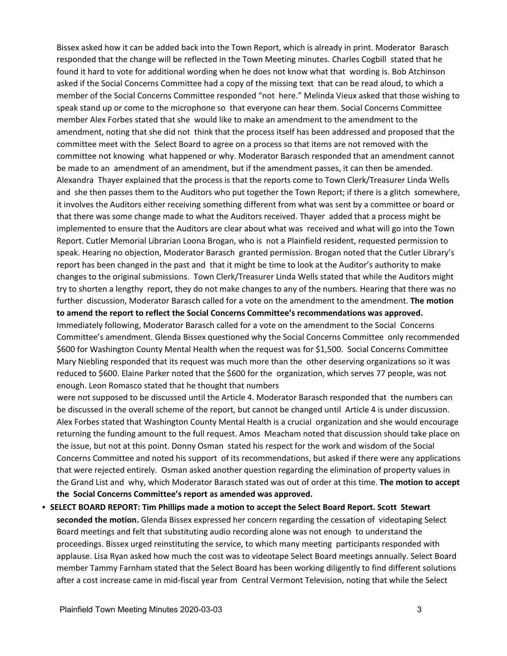Bissex asked how it can be added back into the Town Report, which is already in print. Moderator Barasch responded that the change will be reflected in the Town Meeting minutes. Charles Cogbill stated that he found it hard to vote for additional wording when he does not know what that wording is. Bob Atchinson asked if the Social Concerns Committee had a copy of the missing text that can be read aloud, to which a member of the Social Concerns Committee responded "not here." Melinda Vieux asked that those wishing to speak stand up or come to the microphone so that everyone can hear them. Social Concerns Committee member Alex Forbes stated that she would like to make an amendment to the amendment to the amendment, noting that she did not think that the process itself has been addressed and proposed that the committee meet with the Select Board to agree on a process so that items are not removed with the committee not knowing what happened or why. Moderator Barasch responded that an amendment cannot be made to an amendment of an amendment, but if the amendment passes, it can then be amended. Alexandra Thayer explained that the process is that the reports come to Town Clerk/Treasurer Linda Wells and she then passes them to the Auditors who put together the Town Report; if there is a glitch somewhere, it involves the Auditors either receiving something different from what was sent by a committee or board or that there was some change made to what the Auditors received. Thayer added that a process might be implemented to ensure that the Auditors are clear about what was received and what will go into the Town Report. Cutler Memorial Librarian Loona Brogan, who is not a Plainfield resident, requested permission to speak. Hearing no objection, Moderator Barasch granted permission. Brogan noted that the Cutler Library's report has been changed in the past and that it might be time to look at the Auditor's authority to make changes to the original submissions. Town Clerk/Treasurer Linda Wells stated that while the Auditors might try to shorten a lengthy report, they do not make changes to any of the numbers. Hearing that there was no further discussion, Moderator Barasch called for a vote on the amendment to the amendment. **The motion to amend the report to reflect the Social Concerns Committee's recommendations was approved.** Immediately following, Moderator Barasch called for a vote on the amendment to the Social Concerns Committee's amendment. Glenda Bissex questioned why the Social Concerns Committee only recommended \$600 for Washington County Mental Health when the request was for \$1,500. Social Concerns Committee Mary Niebling responded that its request was much more than the other deserving organizations so it was reduced to \$600. Elaine Parker noted that the \$600 for the organization, which serves 77 people, was not

enough. Leon Romasco stated that he thought that numbers

were not supposed to be discussed until the Article 4. Moderator Barasch responded that the numbers can be discussed in the overall scheme of the report, but cannot be changed until Article 4 is under discussion. Alex Forbes stated that Washington County Mental Health is a crucial organization and she would encourage returning the funding amount to the full request. Amos Meacham noted that discussion should take place on the issue, but not at this point. Donny Osman stated his respect for the work and wisdom of the Social Concerns Committee and noted his support of its recommendations, but asked if there were any applications that were rejected entirely. Osman asked another question regarding the elimination of property values in the Grand List and why, which Moderator Barasch stated was out of order at this time. **The motion to accept the Social Concerns Committee's report as amended was approved.** 

**• SELECT BOARD REPORT: Tim Phillips made a motion to accept the Select Board Report. Scott Stewart seconded the motion.** Glenda Bissex expressed her concern regarding the cessation of videotaping Select Board meetings and felt that substituting audio recording alone was not enough to understand the proceedings. Bissex urged reinstituting the service, to which many meeting participants responded with applause. Lisa Ryan asked how much the cost was to videotape Select Board meetings annually. Select Board member Tammy Farnham stated that the Select Board has been working diligently to find different solutions after a cost increase came in mid-fiscal year from Central Vermont Television, noting that while the Select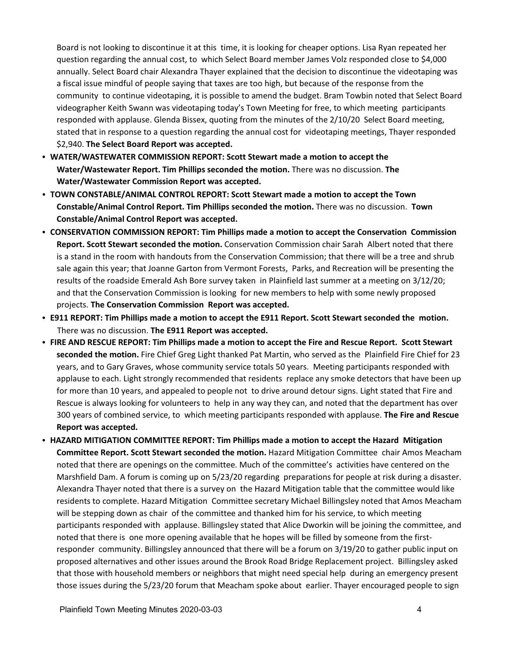Board is not looking to discontinue it at this time, it is looking for cheaper options. Lisa Ryan repeated her question regarding the annual cost, to which Select Board member James Volz responded close to \$4,000 annually. Select Board chair Alexandra Thayer explained that the decision to discontinue the videotaping was a fiscal issue mindful of people saying that taxes are too high, but because of the response from the community to continue videotaping, it is possible to amend the budget. Bram Towbin noted that Select Board videographer Keith Swann was videotaping today's Town Meeting for free, to which meeting participants responded with applause. Glenda Bissex, quoting from the minutes of the 2/10/20 Select Board meeting, stated that in response to a question regarding the annual cost for videotaping meetings, Thayer responded \$2,940. **The Select Board Report was accepted.** 

- **WATER/WASTEWATER COMMISSION REPORT: Scott Stewart made a motion to accept the Water/Wastewater Report. Tim Phillips seconded the motion.** There was no discussion. **The Water/Wastewater Commission Report was accepted.**
- TOWN CONSTABLE/ANIMAL CONTROL REPORT: Scott Stewart made a motion to accept the Town **Constable/Animal Control Report. Tim Phillips seconded the motion.** There was no discussion. **Town Constable/Animal Control Report was accepted.**
- C **CONSERVATION COMMISSION REPORT: Tim Phillips made a motion to accept the Conservation Commission Report. Scott Stewart seconded the motion.** Conservation Commission chair Sarah Albert noted that there is a stand in the room with handouts from the Conservation Commission; that there will be a tree and shrub sale again this year; that Joanne Garton from Vermont Forests, Parks, and Recreation will be presenting the results of the roadside Emerald Ash Bore survey taken in Plainfield last summer at a meeting on 3/12/20; and that the Conservation Commission is looking for new members to help with some newly proposed projects. **The Conservation Commission Report was accepted.**
- **EPI1 REPORT: Tim Phillips made a motion to accept the E911 Report. Scott Stewart seconded the motion.** There was no discussion. **The E911 Report was accepted.**
- **FIRE AND RESCUE REPORT: Tim Phillips made a motion to accept the Fire and Rescue Report. Scott Stewart seconded the motion.** Fire Chief Greg Light thanked Pat Martin, who served as the Plainfield Fire Chief for 23 years, and to Gary Graves, whose community service totals 50 years. Meeting participants responded with applause to each. Light strongly recommended that residents replace any smoke detectors that have been up for more than 10 years, and appealed to people not to drive around detour signs. Light stated that Fire and Rescue is always looking for volunteers to help in any way they can, and noted that the department has over 300 years of combined service, to which meeting participants responded with applause. **The Fire and Rescue Report was accepted.**
- **HAZARD MITIGATION COMMITTEE REPORT: Tim Phillips made a motion to accept the Hazard Mitigation Committee Report. Scott Stewart seconded the motion.** Hazard Mitigation Committee chair Amos Meacham noted that there are openings on the committee. Much of the committee's activities have centered on the Marshfield Dam. A forum is coming up on 5/23/20 regarding preparations for people at risk during a disaster. Alexandra Thayer noted that there is a survey on the Hazard Mitigation table that the committee would like residents to complete. Hazard Mitigation Committee secretary Michael Billingsley noted that Amos Meacham will be stepping down as chair of the committee and thanked him for his service, to which meeting participants responded with applause. Billingsley stated that Alice Dworkin will be joining the committee, and noted that there is one more opening available that he hopes will be filled by someone from the firstresponder community. Billingsley announced that there will be a forum on 3/19/20 to gather public input on proposed alternatives and other issues around the Brook Road Bridge Replacement project. Billingsley asked that those with household members or neighbors that might need special help during an emergency present those issues during the 5/23/20 forum that Meacham spoke about earlier. Thayer encouraged people to sign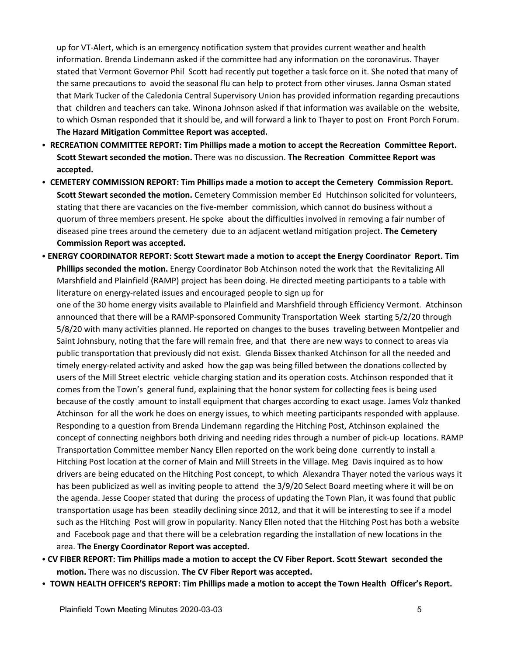up for VT-Alert, which is an emergency notification system that provides current weather and health information. Brenda Lindemann asked if the committee had any information on the coronavirus. Thayer stated that Vermont Governor Phil Scott had recently put together a task force on it. She noted that many of the same precautions to avoid the seasonal flu can help to protect from other viruses. Janna Osman stated that Mark Tucker of the Caledonia Central Supervisory Union has provided information regarding precautions that children and teachers can take. Winona Johnson asked if that information was available on the website, to which Osman responded that it should be, and will forward a link to Thayer to post on Front Porch Forum. **The Hazard Mitigation Committee Report was accepted.**

- **RECREATION COMMITTEE REPORT: Tim Phillips made a motion to accept the Recreation Committee Report. Scott Stewart seconded the motion.** There was no discussion. **The Recreation Committee Report was accepted.**
- **CEMETERY COMMISSION REPORT: Tim Phillips made a motion to accept the Cemetery Commission Report. Scott Stewart seconded the motion.** Cemetery Commission member Ed Hutchinson solicited for volunteers, stating that there are vacancies on the five-member commission, which cannot do business without a quorum of three members present. He spoke about the difficulties involved in removing a fair number of diseased pine trees around the cemetery due to an adjacent wetland mitigation project. **The Cemetery Commission Report was accepted.**
- **ENERGY COORDINATOR REPORT: Scott Stewart made a motion to accept the Energy Coordinator Report. Tim Phillips seconded the motion.** Energy Coordinator Bob Atchinson noted the work that the Revitalizing All Marshfield and Plainfield (RAMP) project has been doing. He directed meeting participants to a table with literature on energy-related issues and encouraged people to sign up for

one of the 30 home energy visits available to Plainfield and Marshfield through Efficiency Vermont. Atchinson announced that there will be a RAMP-sponsored Community Transportation Week starting 5/2/20 through 5/8/20 with many activities planned. He reported on changes to the buses traveling between Montpelier and Saint Johnsbury, noting that the fare will remain free, and that there are new ways to connect to areas via public transportation that previously did not exist. Glenda Bissex thanked Atchinson for all the needed and timely energy-related activity and asked how the gap was being filled between the donations collected by users of the Mill Street electric vehicle charging station and its operation costs. Atchinson responded that it comes from the Town's general fund, explaining that the honor system for collecting fees is being used because of the costly amount to install equipment that charges according to exact usage. James Volz thanked Atchinson for all the work he does on energy issues, to which meeting participants responded with applause. Responding to a question from Brenda Lindemann regarding the Hitching Post, Atchinson explained the concept of connecting neighbors both driving and needing rides through a number of pick-up locations. RAMP Transportation Committee member Nancy Ellen reported on the work being done currently to install a Hitching Post location at the corner of Main and Mill Streets in the Village. Meg Davis inquired as to how drivers are being educated on the Hitching Post concept, to which Alexandra Thayer noted the various ways it has been publicized as well as inviting people to attend the 3/9/20 Select Board meeting where it will be on the agenda. Jesse Cooper stated that during the process of updating the Town Plan, it was found that public transportation usage has been steadily declining since 2012, and that it will be interesting to see if a model such as the Hitching Post will grow in popularity. Nancy Ellen noted that the Hitching Post has both a website and Facebook page and that there will be a celebration regarding the installation of new locations in the area. **The Energy Coordinator Report was accepted.**

- C **CV FIBER REPORT: Tim Phillips made a motion to accept the CV Fiber Report. Scott Stewart seconded the motion.** There was no discussion. **The CV Fiber Report was accepted.**
- **TOWN HEALTH OFFICER'S REPORT: Tim Phillips made a motion to accept the Town Health Officer's Report.**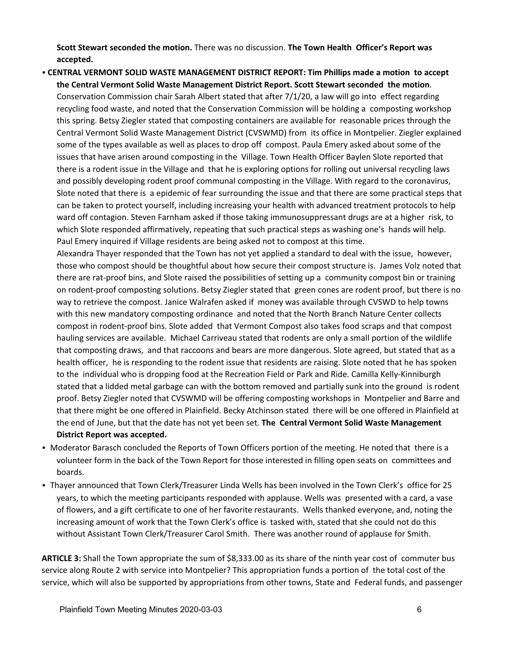**Scott Stewart seconded the motion.** There was no discussion. **The Town Health Officer's Report was accepted.** 

• CENTRAL VERMONT SOLID WASTE MANAGEMENT DISTRICT REPORT: Tim Phillips made a motion to accept **the Central Vermont Solid Waste Management District Report. Scott Stewart seconded the motion**. Conservation Commission chair Sarah Albert stated that after 7/1/20, a law will go into effect regarding recycling food waste, and noted that the Conservation Commission will be holding a composting workshop this spring. Betsy Ziegler stated that composting containers are available for reasonable prices through the Central Vermont Solid Waste Management District (CVSWMD) from its office in Montpelier. Ziegler explained some of the types available as well as places to drop off compost. Paula Emery asked about some of the issues that have arisen around composting in the Village. Town Health Officer Baylen Slote reported that there is a rodent issue in the Village and that he is exploring options for rolling out universal recycling laws and possibly developing rodent proof communal composting in the Village. With regard to the coronavirus, Slote noted that there is a epidemic of fear surrounding the issue and that there are some practical steps that can be taken to protect yourself, including increasing your health with advanced treatment protocols to help ward off contagion. Steven Farnham asked if those taking immunosuppressant drugs are at a higher risk, to which Slote responded affirmatively, repeating that such practical steps as washing one's hands will help. Paul Emery inquired if Village residents are being asked not to compost at this time.

Alexandra Thayer responded that the Town has not yet applied a standard to deal with the issue, however, those who compost should be thoughtful about how secure their compost structure is. James Volz noted that there are rat-proof bins, and Slote raised the possibilities of setting up a community compost bin or training on rodent-proof composting solutions. Betsy Ziegler stated that green cones are rodent proof, but there is no way to retrieve the compost. Janice Walrafen asked if money was available through CVSWD to help towns with this new mandatory composting ordinance and noted that the North Branch Nature Center collects compost in rodent-proof bins. Slote added that Vermont Compost also takes food scraps and that compost hauling services are available. Michael Carriveau stated that rodents are only a small portion of the wildlife that composting draws, and that raccoons and bears are more dangerous. Slote agreed, but stated that as a health officer, he is responding to the rodent issue that residents are raising. Slote noted that he has spoken to the individual who is dropping food at the Recreation Field or Park and Ride. Camilla Kelly-Kinniburgh stated that a lidded metal garbage can with the bottom removed and partially sunk into the ground is rodent proof. Betsy Ziegler noted that CVSWMD will be offering composting workshops in Montpelier and Barre and that there might be one offered in Plainfield. Becky Atchinson stated there will be one offered in Plainfield at the end of June, but that the date has not yet been set. **The Central Vermont Solid Waste Management District Report was accepted.**

- Moderator Barasch concluded the Reports of Town Officers portion of the meeting. He noted that there is a volunteer form in the back of the Town Report for those interested in filling open seats on committees and boards.
- Thayer announced that Town Clerk/Treasurer Linda Wells has been involved in the Town Clerk's office for 25 years, to which the meeting participants responded with applause. Wells was presented with a card, a vase of flowers, and a gift certificate to one of her favorite restaurants. Wells thanked everyone, and, noting the increasing amount of work that the Town Clerk's office is tasked with, stated that she could not do this without Assistant Town Clerk/Treasurer Carol Smith. There was another round of applause for Smith.

**ARTICLE 3:** Shall the Town appropriate the sum of \$8,333.00 as its share of the ninth year cost of commuter bus service along Route 2 with service into Montpelier? This appropriation funds a portion of the total cost of the service, which will also be supported by appropriations from other towns, State and Federal funds, and passenger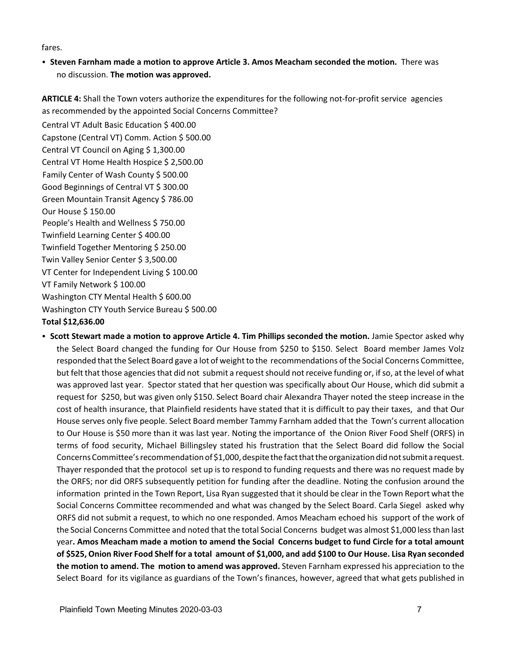fares.

**• Steven Farnham made a motion to approve Article 3. Amos Meacham seconded the motion.** There was no discussion. **The motion was approved.**

**ARTICLE 4:** Shall the Town voters authorize the expenditures for the following not-for-profit service agencies as recommended by the appointed Social Concerns Committee?

Central VT Adult Basic Education \$ 400.00 Capstone (Central VT) Comm. Action \$ 500.00 Central VT Council on Aging \$ 1,300.00 Central VT Home Health Hospice \$ 2,500.00 Family Center of Wash County \$ 500.00 Good Beginnings of Central VT \$ 300.00 Green Mountain Transit Agency \$ 786.00 Our House \$ 150.00 People's Health and Wellness \$750.00 Twinfield Learning Center \$ 400.00 Twinfield Together Mentoring \$ 250.00 Twin Valley Senior Center \$ 3,500.00 VT Center for Independent Living \$ 100.00 VT Family Network \$ 100.00 Washington CTY Mental Health \$ 600.00 Washington CTY Youth Service Bureau \$ 500.00 **Total \$12,636.00** 

C **Scott Stewart made a motion to approve Article 4. Tim Phillips seconded the motion.** Jamie Spector asked why the Select Board changed the funding for Our House from \$250 to \$150. Select Board member James Volz responded that the Select Board gave a lot of weight to the recommendations of the Social Concerns Committee, but felt that those agencies that did not submit a requestshould notreceive funding or, if so, at the level of what was approved last year. Spector stated that her question was specifically about Our House, which did submit a request for \$250, but was given only \$150. Select Board chair Alexandra Thayer noted the steep increase in the cost of health insurance, that Plainfield residents have stated that it is difficult to pay their taxes, and that Our House serves only five people. Select Board member Tammy Farnham added that the Town's current allocation to Our House is \$50 more than it was last year. Noting the importance of the Onion River Food Shelf (ORFS) in terms of food security, Michael Billingsley stated his frustration that the Select Board did follow the Social Concerns Committee's recommendation of \$1,000, despite the fact that the organization did not submit a request. Thayer responded that the protocol set up is to respond to funding requests and there was no request made by the ORFS; nor did ORFS subsequently petition for funding after the deadline. Noting the confusion around the information printed in the Town Report, Lisa Ryan suggested that itshould be clear in the Town Report what the Social Concerns Committee recommended and what was changed by the Select Board. Carla Siegel asked why ORFS did not submit a request, to which no one responded. Amos Meacham echoed his support of the work of the Social Concerns Committee and noted that the total Social Concerns budget was almost \$1,000 less than last year**. Amos Meacham made a motion to amend the Social Concerns budget to fund Circle for a total amount of \$525, Onion River Food Shelf for a total amount of \$1,000, and add \$100 to Our House. Lisa Ryan seconded the motion to amend. The motion to amend was approved.** Steven Farnham expressed his appreciation to the Select Board for its vigilance as guardians of the Town's finances, however, agreed that what gets published in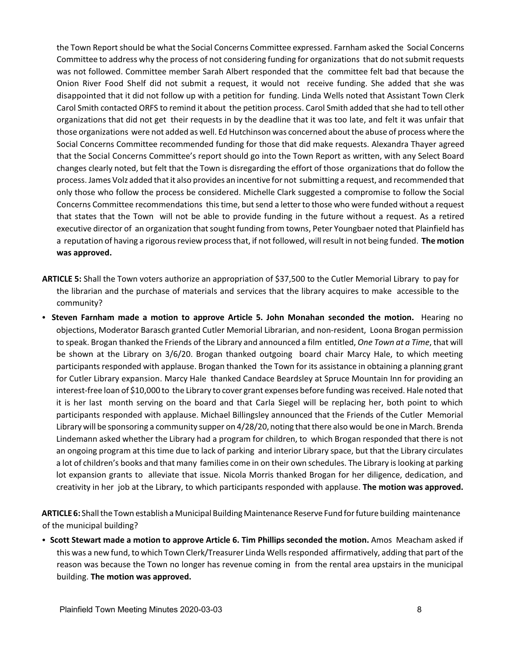the Town Report should be what the Social Concerns Committee expressed. Farnham asked the Social Concerns Committee to address why the process of not considering funding for organizations that do notsubmit requests was not followed. Committee member Sarah Albert responded that the committee felt bad that because the Onion River Food Shelf did not submit a request, it would not receive funding. She added that she was disappointed that it did not follow up with a petition for funding. Linda Wells noted that Assistant Town Clerk Carol Smith contacted ORFS to remind it about the petition process. Carol Smith added that she had to tell other organizations that did not get their requests in by the deadline that it was too late, and felt it was unfair that those organizations were not added as well. Ed Hutchinson was concerned aboutthe abuse of process where the Social Concerns Committee recommended funding for those that did make requests. Alexandra Thayer agreed that the Social Concerns Committee's report should go into the Town Report as written, with any Select Board changes clearly noted, but felt that the Town is disregarding the effort of those organizations that do follow the process. James Volz added thatit also provides an incentive for not submitting a request, and recommended that only those who follow the process be considered. Michelle Clark suggested a compromise to follow the Social Concerns Committee recommendations this time, butsend a letter to those who were funded without a request that states that the Town will not be able to provide funding in the future without a request. As a retired executive director of an organization that sought funding from towns, Peter Youngbaer noted that Plainfield has a reputation of having a rigorous review process that, if notfollowed, will resultin not being funded. **The motion was approved.**

- **ARTICLE 5:** Shall the Town voters authorize an appropriation of \$37,500 to the Cutler Memorial Library to pay for the librarian and the purchase of materials and services that the library acquires to make accessible to the community?
- **Steven Farnham made a motion to approve Article 5. John Monahan seconded the motion. Hearing no** objections, Moderator Barasch granted Cutler Memorial Librarian, and non-resident, Loona Brogan permission to speak. Brogan thanked the Friends of the Library and announced a film entitled, *One Town at a Time*, that will be shown at the Library on 3/6/20. Brogan thanked outgoing board chair Marcy Hale, to which meeting participants responded with applause. Brogan thanked the Town for its assistance in obtaining a planning grant for Cutler Library expansion. Marcy Hale thanked Candace Beardsley at Spruce Mountain Inn for providing an interest-free loan of \$10,000 to the Library to cover grant expenses before funding was received. Hale noted that it is her last month serving on the board and that Carla Siegel will be replacing her, both point to which participants responded with applause. Michael Billingsley announced that the Friends of the Cutler Memorial Library will be sponsoring a community supper on 4/28/20, noting thatthere also would be one in March. Brenda Lindemann asked whether the Library had a program for children, to which Brogan responded that there is not an ongoing program at this time due to lack of parking and interior Library space, but that the Library circulates a lot of children's books and that many families come in on their own schedules. The Library is looking at parking lot expansion grants to alleviate that issue. Nicola Morris thanked Brogan for her diligence, dedication, and creativity in her job at the Library, to which participants responded with applause. **The motion was approved.**

**ARTICLE 6:** Shall the Town establish a Municipal Building Maintenance Reserve Fund for future building maintenance of the municipal building?

**• Scott Stewart made a motion to approve Article 6. Tim Phillips seconded the motion. Amos Meacham asked if** this was a new fund, to which Town Clerk/Treasurer Linda Wells responded affirmatively, adding that part of the reason was because the Town no longer has revenue coming in from the rental area upstairs in the municipal building. **The motion was approved.**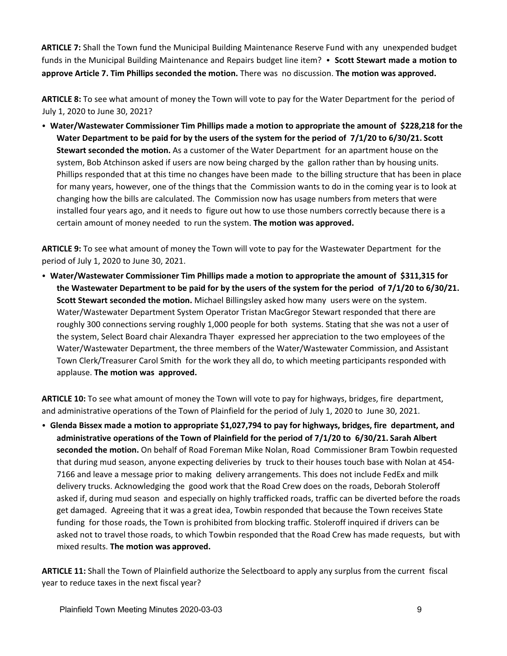**ARTICLE 7:** Shall the Town fund the Municipal Building Maintenance Reserve Fund with any unexpended budget funds in the Municipal Building Maintenance and Repairs budget line item? • Scott Stewart made a motion to **approve Article 7. Tim Phillips seconded the motion.** There was no discussion. **The motion was approved.**

**ARTICLE 8:** To see what amount of money the Town will vote to pay for the Water Department for the period of July 1, 2020 to June 30, 2021?

• Water/Wastewater Commissioner Tim Phillips made a motion to appropriate the amount of \$228,218 for the **Water Department to be paid for by the users of the system for the period of 7/1/20 to 6/30/21. Scott Stewart seconded the motion.** As a customer of the Water Department for an apartment house on the system, Bob Atchinson asked if users are now being charged by the gallon rather than by housing units. Phillips responded that at this time no changes have been made to the billing structure that has been in place for many years, however, one of the things that the Commission wants to do in the coming year is to look at changing how the bills are calculated. The Commission now has usage numbers from meters that were installed four years ago, and it needs to figure out how to use those numbers correctly because there is a certain amount of money needed to run the system. **The motion was approved.**

**ARTICLE 9:** To see what amount of money the Town will vote to pay for the Wastewater Department for the period of July 1, 2020 to June 30, 2021.

C **Water/Wastewater Commissioner Tim Phillips made a motion to appropriate the amount of \$311,315 for the Wastewater Department to be paid for by the users of the system for the period of 7/1/20 to 6/30/21. Scott Stewart seconded the motion.** Michael Billingsley asked how many users were on the system. Water/Wastewater Department System Operator Tristan MacGregor Stewart responded that there are roughly 300 connections serving roughly 1,000 people for both systems. Stating that she was not a user of the system, Select Board chair Alexandra Thayer expressed her appreciation to the two employees of the Water/Wastewater Department, the three members of the Water/Wastewater Commission, and Assistant Town Clerk/Treasurer Carol Smith for the work they all do, to which meeting participants responded with applause. **The motion was approved.** 

**ARTICLE 10:** To see what amount of money the Town will vote to pay for highways, bridges, fire department, and administrative operations of the Town of Plainfield for the period of July 1, 2020 to June 30, 2021.

C **Glenda Bissex made a motion to appropriate \$1,027,794 to pay for highways, bridges, fire department, and administrative operations of the Town of Plainfield for the period of 7/1/20 to 6/30/21. Sarah Albert seconded the motion.** On behalf of Road Foreman Mike Nolan, Road Commissioner Bram Towbin requested that during mud season, anyone expecting deliveries by truck to their houses touch base with Nolan at 454- 7166 and leave a message prior to making delivery arrangements. This does not include FedEx and milk delivery trucks. Acknowledging the good work that the Road Crew does on the roads, Deborah Stoleroff asked if, during mud season and especially on highly trafficked roads, traffic can be diverted before the roads get damaged. Agreeing that it was a great idea, Towbin responded that because the Town receives State funding for those roads, the Town is prohibited from blocking traffic. Stoleroff inquired if drivers can be asked not to travel those roads, to which Towbin responded that the Road Crew has made requests, but with mixed results. **The motion was approved.**

**ARTICLE 11:** Shall the Town of Plainfield authorize the Selectboard to apply any surplus from the current fiscal year to reduce taxes in the next fiscal year?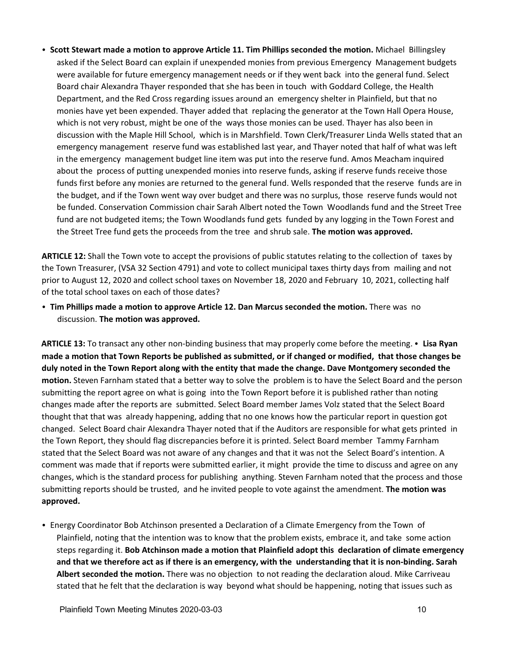**Scott Stewart made a motion to approve Article 11. Tim Phillips seconded the motion. Michael Billingsley by 1.** asked if the Select Board can explain if unexpended monies from previous Emergency Management budgets were available for future emergency management needs or if they went back into the general fund. Select Board chair Alexandra Thayer responded that she has been in touch with Goddard College, the Health Department, and the Red Cross regarding issues around an emergency shelter in Plainfield, but that no monies have yet been expended. Thayer added that replacing the generator at the Town Hall Opera House, which is not very robust, might be one of the ways those monies can be used. Thayer has also been in discussion with the Maple Hill School, which is in Marshfield. Town Clerk/Treasurer Linda Wells stated that an emergency management reserve fund was established last year, and Thayer noted that half of what was left in the emergency management budget line item was put into the reserve fund. Amos Meacham inquired about the process of putting unexpended monies into reserve funds, asking if reserve funds receive those funds first before any monies are returned to the general fund. Wells responded that the reserve funds are in the budget, and if the Town went way over budget and there was no surplus, those reserve funds would not be funded. Conservation Commission chair Sarah Albert noted the Town Woodlands fund and the Street Tree fund are not budgeted items; the Town Woodlands fund gets funded by any logging in the Town Forest and the Street Tree fund gets the proceeds from the tree and shrub sale. **The motion was approved.**

**ARTICLE 12:** Shall the Town vote to accept the provisions of public statutes relating to the collection of taxes by the Town Treasurer, (VSA 32 Section 4791) and vote to collect municipal taxes thirty days from mailing and not prior to August 12, 2020 and collect school taxes on November 18, 2020 and February 10, 2021, collecting half of the total school taxes on each of those dates?

**• Tim Phillips made a motion to approve Article 12. Dan Marcus seconded the motion.** There was no discussion. **The motion was approved.**

**ARTICLE 13:** To transact any other non-binding business that may properly come before the meeting. • Lisa Ryan **made a motion that Town Reports be published as submitted, or if changed or modified, that those changes be duly noted in the Town Report along with the entity that made the change. Dave Montgomery seconded the motion.** Steven Farnham stated that a better way to solve the problem is to have the Select Board and the person submitting the report agree on what is going into the Town Report before it is published rather than noting changes made after the reports are submitted. Select Board member James Volz stated that the Select Board thought that that was already happening, adding that no one knows how the particular report in question got changed. Select Board chair Alexandra Thayer noted that if the Auditors are responsible for what gets printed in the Town Report, they should flag discrepancies before it is printed. Select Board member Tammy Farnham stated that the Select Board was not aware of any changes and that it was not the Select Board's intention. A comment was made that if reports were submitted earlier, it might provide the time to discuss and agree on any changes, which is the standard process for publishing anything. Steven Farnham noted that the process and those submitting reports should be trusted, and he invited people to vote against the amendment. **The motion was approved.**

• Energy Coordinator Bob Atchinson presented a Declaration of a Climate Emergency from the Town of Plainfield, noting that the intention was to know that the problem exists, embrace it, and take some action steps regarding it. **Bob Atchinson made a motion that Plainfield adopt this declaration of climate emergency and that we therefore act as if there is an emergency, with the understanding that it is non-binding. Sarah Albert seconded the motion.** There was no objection to not reading the declaration aloud. Mike Carriveau stated that he felt that the declaration is way beyond what should be happening, noting that issues such as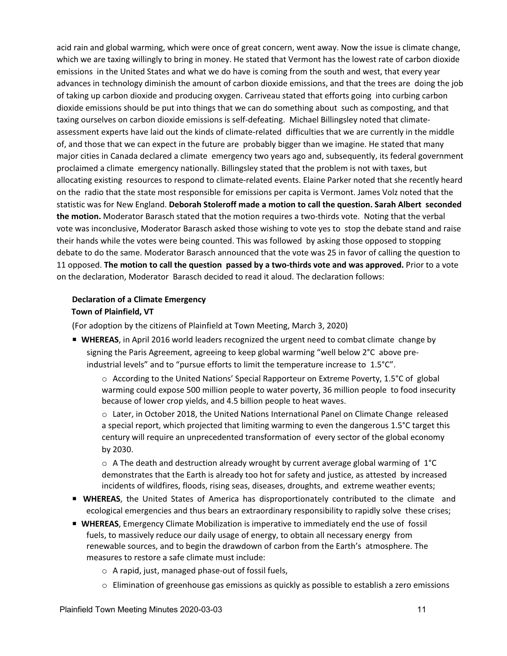acid rain and global warming, which were once of great concern, went away. Now the issue is climate change, which we are taxing willingly to bring in money. He stated that Vermont has the lowest rate of carbon dioxide emissions in the United States and what we do have is coming from the south and west, that every year advances in technology diminish the amount of carbon dioxide emissions, and that the trees are doing the job of taking up carbon dioxide and producing oxygen. Carriveau stated that efforts going into curbing carbon dioxide emissions should be put into things that we can do something about such as composting, and that taxing ourselves on carbon dioxide emissions is self-defeating. Michael Billingsley noted that climateassessment experts have laid out the kinds of climate-related difficulties that we are currently in the middle of, and those that we can expect in the future are probably bigger than we imagine. He stated that many major cities in Canada declared a climate emergency two years ago and, subsequently, its federal government proclaimed a climate emergency nationally. Billingsley stated that the problem is not with taxes, but allocating existing resources to respond to climate-related events. Elaine Parker noted that she recently heard on the radio that the state most responsible for emissions per capita is Vermont. James Volz noted that the statistic was for New England. **Deborah Stoleroff made a motion to call the question. Sarah Albert seconded the motion.** Moderator Barasch stated that the motion requires a two-thirds vote. Noting that the verbal vote was inconclusive, Moderator Barasch asked those wishing to vote yes to stop the debate stand and raise their hands while the votes were being counted. This was followed by asking those opposed to stopping debate to do the same. Moderator Barasch announced that the vote was 25 in favor of calling the question to 11 opposed. **The motion to call the question passed by a two-thirds vote and was approved.** Prior to a vote on the declaration, Moderator Barasch decided to read it aloud. The declaration follows:

## **Declaration of a Climate Emergency Town of Plainfield, VT**

(For adoption by the citizens of Plainfield at Town Meeting, March 3, 2020)

**WHEREAS**, in April 2016 world leaders recognized the urgent need to combat climate change by signing the Paris Agreement, agreeing to keep global warming "well below 2°C above preindustrial levels" and to "pursue efforts to limit the temperature increase to 1.5°C".

o According to the United Nations' Special Rapporteur on Extreme Poverty, 1.5°C of global warming could expose 500 million people to water poverty, 36 million people to food insecurity because of lower crop yields, and 4.5 billion people to heat waves.

o Later, in October 2018, the United Nations International Panel on Climate Change released a special report, which projected that limiting warming to even the dangerous 1.5°C target this century will require an unprecedented transformation of every sector of the global economy by 2030.

 $\circ$  A The death and destruction already wrought by current average global warming of 1°C demonstrates that the Earth is already too hot for safety and justice, as attested by increased incidents of wildfires, floods, rising seas, diseases, droughts, and extreme weather events;

- **P WHEREAS**, the United States of America has disproportionately contributed to the climate and ecological emergencies and thus bears an extraordinary responsibility to rapidly solve these crises;
- **WHEREAS**, Emergency Climate Mobilization is imperative to immediately end the use of fossil fuels, to massively reduce our daily usage of energy, to obtain all necessary energy from renewable sources, and to begin the drawdown of carbon from the Earth's atmosphere. The measures to restore a safe climate must include:
	- $\circ$  A rapid, just, managed phase-out of fossil fuels,
	- $\circ$  Elimination of greenhouse gas emissions as quickly as possible to establish a zero emissions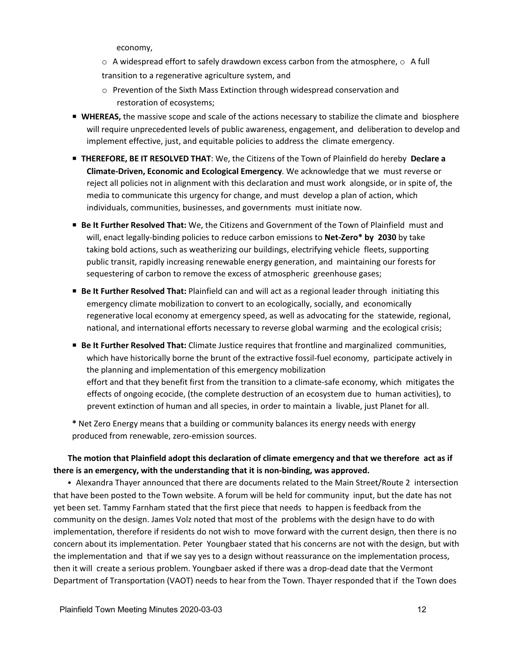economy,

- $\circ$  A widespread effort to safely drawdown excess carbon from the atmosphere,  $\circ$  A full transition to a regenerative agriculture system, and
- o Prevention of the Sixth Mass Extinction through widespread conservation and restoration of ecosystems;
- **WHEREAS,** the massive scope and scale of the actions necessary to stabilize the climate and biosphere will require unprecedented levels of public awareness, engagement, and deliberation to develop and implement effective, just, and equitable policies to address the climate emergency.
- P **THEREFORE, BE IT RESOLVED THAT**: We, the Citizens of the Town of Plainfield do hereby **Declare a Climate-Driven, Economic and Ecological Emergency**. We acknowledge that we must reverse or reject all policies not in alignment with this declaration and must work alongside, or in spite of, the media to communicate this urgency for change, and must develop a plan of action, which individuals, communities, businesses, and governments must initiate now.
- P **Be It Further Resolved That:** We, the Citizens and Government of the Town of Plainfield must and will, enact legally-binding policies to reduce carbon emissions to **Net-Zero\* by 2030** by take taking bold actions, such as weatherizing our buildings, electrifying vehicle fleets, supporting public transit, rapidly increasing renewable energy generation, and maintaining our forests for sequestering of carbon to remove the excess of atmospheric greenhouse gases;
- P **Be It Further Resolved That:** Plainfield can and will act as a regional leader through initiating this emergency climate mobilization to convert to an ecologically, socially, and economically regenerative local economy at emergency speed, as well as advocating for the statewide, regional, national, and international efforts necessary to reverse global warming and the ecological crisis;
- **Be It Further Resolved That:** Climate Justice requires that frontline and marginalized communities, which have historically borne the brunt of the extractive fossil-fuel economy, participate actively in the planning and implementation of this emergency mobilization effort and that they benefit first from the transition to a climate-safe economy, which mitigates the effects of ongoing ecocide, (the complete destruction of an ecosystem due to human activities), to prevent extinction of human and all species, in order to maintain a livable, just Planet for all.

**\*** Net Zero Energy means that a building or community balances its energy needs with energy produced from renewable, zero-emission sources.

## **The motion that Plainfield adopt this declaration of climate emergency and that we therefore act as if there is an emergency, with the understanding that it is non-binding, was approved.**

• Alexandra Thayer announced that there are documents related to the Main Street/Route 2 intersection that have been posted to the Town website. A forum will be held for community input, but the date has not yet been set. Tammy Farnham stated that the first piece that needs to happen is feedback from the community on the design. James Volz noted that most of the problems with the design have to do with implementation, therefore if residents do not wish to move forward with the current design, then there is no concern about its implementation. Peter Youngbaer stated that his concerns are not with the design, but with the implementation and that if we say yes to a design without reassurance on the implementation process, then it will create a serious problem. Youngbaer asked if there was a drop-dead date that the Vermont Department of Transportation (VAOT) needs to hear from the Town. Thayer responded that if the Town does